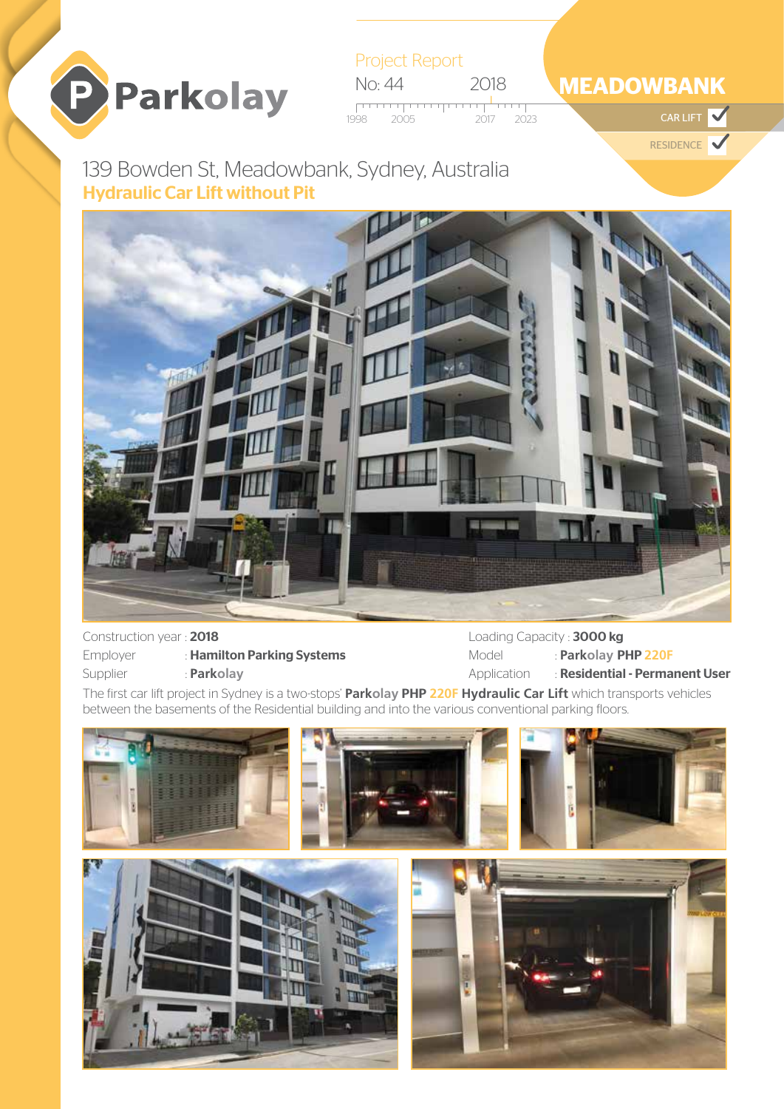

Project Report No: 44 2018  $\overline{1}$ 

1998 2023 2005 2017 CAR LIFT

# **MEADOWBANK**

RESIDENCE

# 139 Bowden St, Meadowbank, Sydney, Australia Hydraulic Car Lift without Pit



### Construction year : 2018

| Employer | : Hami |
|----------|--------|
| Supplier | : Park |

ilton Parking Systems

olay

Loading Capacity: 3000 kg Model : **Parkolay** PHP **220F** Application : Residential - Permanent User

The first car lift project in Sydney is a two-stops' **Parkolay** PHP **220F Hydraulic Car Lift** which transports vehicles between the basements of the Residential building and into the various conventional parking floors.